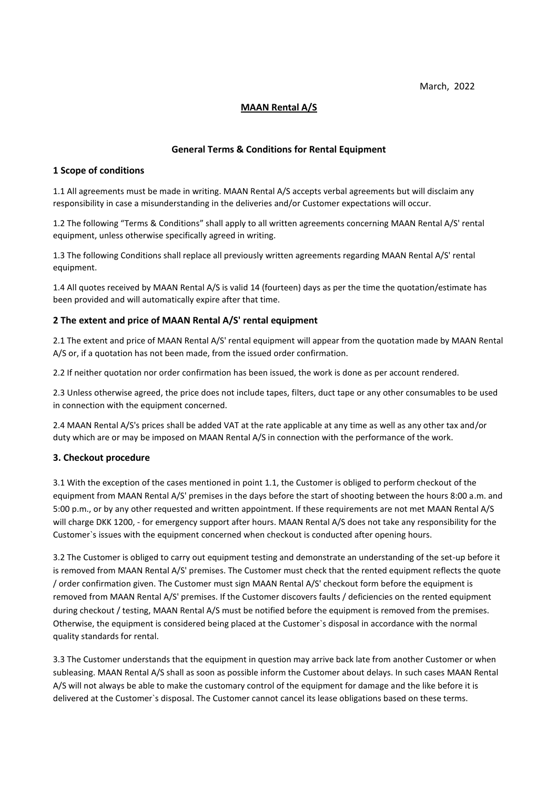March, 2022

# **MAAN Rental A/S**

### **General Terms & Conditions for Rental Equipment**

#### **1 Scope of conditions**

1.1 All agreements must be made in writing. MAAN Rental A/S accepts verbal agreements but will disclaim any responsibility in case a misunderstanding in the deliveries and/or Customer expectations will occur.

1.2 The following "Terms & Conditions" shall apply to all written agreements concerning MAAN Rental A/S' rental equipment, unless otherwise specifically agreed in writing.

1.3 The following Conditions shall replace all previously written agreements regarding MAAN Rental A/S' rental equipment.

1.4 All quotes received by MAAN Rental A/S is valid 14 (fourteen) days as per the time the quotation/estimate has been provided and will automatically expire after that time.

### **2 The extent and price of MAAN Rental A/S' rental equipment**

2.1 The extent and price of MAAN Rental A/S' rental equipment will appear from the quotation made by MAAN Rental A/S or, if a quotation has not been made, from the issued order confirmation.

2.2 If neither quotation nor order confirmation has been issued, the work is done as per account rendered.

2.3 Unless otherwise agreed, the price does not include tapes, filters, duct tape or any other consumables to be used in connection with the equipment concerned.

2.4 MAAN Rental A/S's prices shall be added VAT at the rate applicable at any time as well as any other tax and/or duty which are or may be imposed on MAAN Rental A/S in connection with the performance of the work.

#### **3. Checkout procedure**

3.1 With the exception of the cases mentioned in point 1.1, the Customer is obliged to perform checkout of the equipment from MAAN Rental A/S' premises in the days before the start of shooting between the hours 8:00 a.m. and 5:00 p.m., or by any other requested and written appointment. If these requirements are not met MAAN Rental A/S will charge DKK 1200, - for emergency support after hours. MAAN Rental A/S does not take any responsibility for the Customer`s issues with the equipment concerned when checkout is conducted after opening hours.

3.2 The Customer is obliged to carry out equipment testing and demonstrate an understanding of the set-up before it is removed from MAAN Rental A/S' premises. The Customer must check that the rented equipment reflects the quote / order confirmation given. The Customer must sign MAAN Rental A/S' checkout form before the equipment is removed from MAAN Rental A/S' premises. If the Customer discovers faults / deficiencies on the rented equipment during checkout / testing, MAAN Rental A/S must be notified before the equipment is removed from the premises. Otherwise, the equipment is considered being placed at the Customer`s disposal in accordance with the normal quality standards for rental.

3.3 The Customer understands that the equipment in question may arrive back late from another Customer or when subleasing. MAAN Rental A/S shall as soon as possible inform the Customer about delays. In such cases MAAN Rental A/S will not always be able to make the customary control of the equipment for damage and the like before it is delivered at the Customer`s disposal. The Customer cannot cancel its lease obligations based on these terms.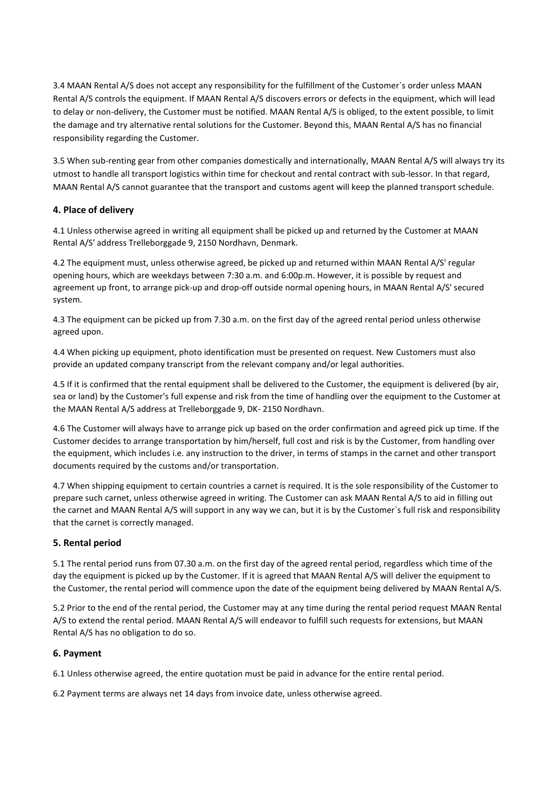3.4 MAAN Rental A/S does not accept any responsibility for the fulfillment of the Customer`s order unless MAAN Rental A/S controls the equipment. If MAAN Rental A/S discovers errors or defects in the equipment, which will lead to delay or non-delivery, the Customer must be notified. MAAN Rental A/S is obliged, to the extent possible, to limit the damage and try alternative rental solutions for the Customer. Beyond this, MAAN Rental A/S has no financial responsibility regarding the Customer.

3.5 When sub-renting gear from other companies domestically and internationally, MAAN Rental A/S will always try its utmost to handle all transport logistics within time for checkout and rental contract with sub-lessor. In that regard, MAAN Rental A/S cannot guarantee that the transport and customs agent will keep the planned transport schedule.

# **4. Place of delivery**

4.1 Unless otherwise agreed in writing all equipment shall be picked up and returned by the Customer at MAAN Rental A/S' address Trelleborggade 9, 2150 Nordhavn, Denmark.

4.2 The equipment must, unless otherwise agreed, be picked up and returned within MAAN Rental A/S' regular opening hours, which are weekdays between 7:30 a.m. and 6:00p.m. However, it is possible by request and agreement up front, to arrange pick-up and drop-off outside normal opening hours, in MAAN Rental A/S' secured system.

4.3 The equipment can be picked up from 7.30 a.m. on the first day of the agreed rental period unless otherwise agreed upon.

4.4 When picking up equipment, photo identification must be presented on request. New Customers must also provide an updated company transcript from the relevant company and/or legal authorities.

4.5 If it is confirmed that the rental equipment shall be delivered to the Customer, the equipment is delivered (by air, sea or land) by the Customer's full expense and risk from the time of handling over the equipment to the Customer at the MAAN Rental A/S address at Trelleborggade 9, DK- 2150 Nordhavn.

4.6 The Customer will always have to arrange pick up based on the order confirmation and agreed pick up time. If the Customer decides to arrange transportation by him/herself, full cost and risk is by the Customer, from handling over the equipment, which includes i.e. any instruction to the driver, in terms of stamps in the carnet and other transport documents required by the customs and/or transportation.

4.7 When shipping equipment to certain countries a carnet is required. It is the sole responsibility of the Customer to prepare such carnet, unless otherwise agreed in writing. The Customer can ask MAAN Rental A/S to aid in filling out the carnet and MAAN Rental A/S will support in any way we can, but it is by the Customer`s full risk and responsibility that the carnet is correctly managed.

# **5. Rental period**

5.1 The rental period runs from 07.30 a.m. on the first day of the agreed rental period, regardless which time of the day the equipment is picked up by the Customer. If it is agreed that MAAN Rental A/S will deliver the equipment to the Customer, the rental period will commence upon the date of the equipment being delivered by MAAN Rental A/S.

5.2 Prior to the end of the rental period, the Customer may at any time during the rental period request MAAN Rental A/S to extend the rental period. MAAN Rental A/S will endeavor to fulfill such requests for extensions, but MAAN Rental A/S has no obligation to do so.

# **6. Payment**

6.1 Unless otherwise agreed, the entire quotation must be paid in advance for the entire rental period.

6.2 Payment terms are always net 14 days from invoice date, unless otherwise agreed.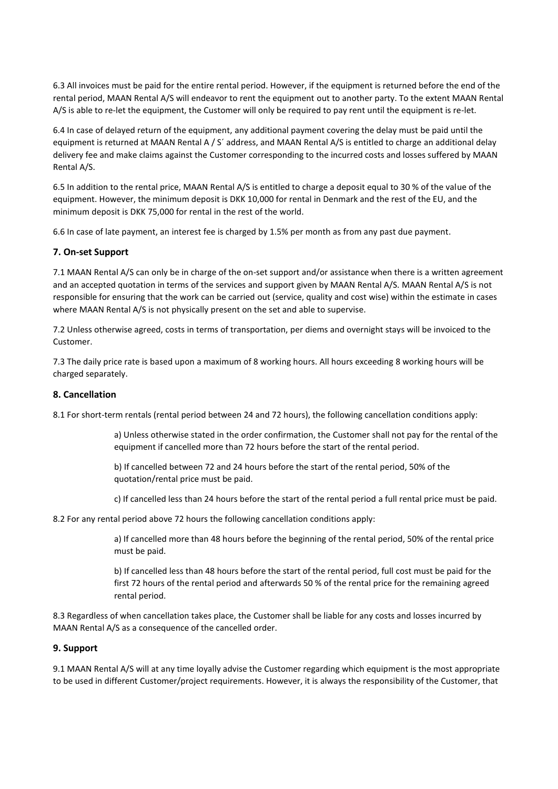6.3 All invoices must be paid for the entire rental period. However, if the equipment is returned before the end of the rental period, MAAN Rental A/S will endeavor to rent the equipment out to another party. To the extent MAAN Rental A/S is able to re-let the equipment, the Customer will only be required to pay rent until the equipment is re-let.

6.4 In case of delayed return of the equipment, any additional payment covering the delay must be paid until the equipment is returned at MAAN Rental A / S' address, and MAAN Rental A/S is entitled to charge an additional delay delivery fee and make claims against the Customer corresponding to the incurred costs and losses suffered by MAAN Rental A/S.

6.5 In addition to the rental price, MAAN Rental A/S is entitled to charge a deposit equal to 30 % of the value of the equipment. However, the minimum deposit is DKK 10,000 for rental in Denmark and the rest of the EU, and the minimum deposit is DKK 75,000 for rental in the rest of the world.

6.6 In case of late payment, an interest fee is charged by 1.5% per month as from any past due payment.

#### **7. On-set Support**

7.1 MAAN Rental A/S can only be in charge of the on-set support and/or assistance when there is a written agreement and an accepted quotation in terms of the services and support given by MAAN Rental A/S. MAAN Rental A/S is not responsible for ensuring that the work can be carried out (service, quality and cost wise) within the estimate in cases where MAAN Rental A/S is not physically present on the set and able to supervise.

7.2 Unless otherwise agreed, costs in terms of transportation, per diems and overnight stays will be invoiced to the Customer.

7.3 The daily price rate is based upon a maximum of 8 working hours. All hours exceeding 8 working hours will be charged separately.

#### **8. Cancellation**

8.1 For short-term rentals (rental period between 24 and 72 hours), the following cancellation conditions apply:

a) Unless otherwise stated in the order confirmation, the Customer shall not pay for the rental of the equipment if cancelled more than 72 hours before the start of the rental period.

b) If cancelled between 72 and 24 hours before the start of the rental period, 50% of the quotation/rental price must be paid.

c) If cancelled less than 24 hours before the start of the rental period a full rental price must be paid.

8.2 For any rental period above 72 hours the following cancellation conditions apply:

a) If cancelled more than 48 hours before the beginning of the rental period, 50% of the rental price must be paid.

b) If cancelled less than 48 hours before the start of the rental period, full cost must be paid for the first 72 hours of the rental period and afterwards 50 % of the rental price for the remaining agreed rental period.

8.3 Regardless of when cancellation takes place, the Customer shall be liable for any costs and losses incurred by MAAN Rental A/S as a consequence of the cancelled order.

#### **9. Support**

9.1 MAAN Rental A/S will at any time loyally advise the Customer regarding which equipment is the most appropriate to be used in different Customer/project requirements. However, it is always the responsibility of the Customer, that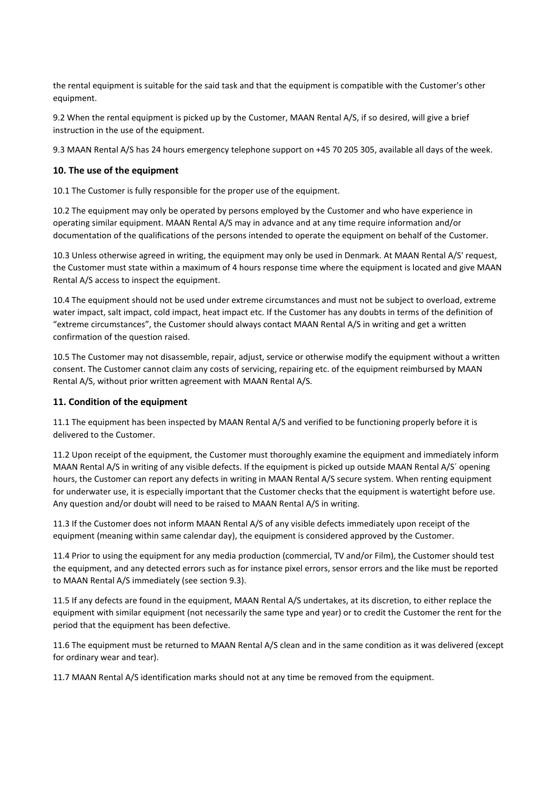the rental equipment is suitable for the said task and that the equipment is compatible with the Customer's other equipment.

9.2 When the rental equipment is picked up by the Customer, MAAN Rental A/S, if so desired, will give a brief instruction in the use of the equipment.

9.3 MAAN Rental A/S has 24 hours emergency telephone support on +45 70 205 305, available all days of the week.

### **10. The use of the equipment**

10.1 The Customer is fully responsible for the proper use of the equipment.

10.2 The equipment may only be operated by persons employed by the Customer and who have experience in operating similar equipment. MAAN Rental A/S may in advance and at any time require information and/or documentation of the qualifications of the persons intended to operate the equipment on behalf of the Customer.

10.3 Unless otherwise agreed in writing, the equipment may only be used in Denmark. At MAAN Rental A/S' request, the Customer must state within a maximum of 4 hours response time where the equipment is located and give MAAN Rental A/S access to inspect the equipment.

10.4 The equipment should not be used under extreme circumstances and must not be subject to overload, extreme water impact, salt impact, cold impact, heat impact etc. If the Customer has any doubts in terms of the definition of "extreme circumstances", the Customer should always contact MAAN Rental A/S in writing and get a written confirmation of the question raised.

10.5 The Customer may not disassemble, repair, adjust, service or otherwise modify the equipment without a written consent. The Customer cannot claim any costs of servicing, repairing etc. of the equipment reimbursed by MAAN Rental A/S, without prior written agreement with MAAN Rental A/S.

# **11. Condition of the equipment**

11.1 The equipment has been inspected by MAAN Rental A/S and verified to be functioning properly before it is delivered to the Customer.

11.2 Upon receipt of the equipment, the Customer must thoroughly examine the equipment and immediately inform MAAN Rental A/S in writing of any visible defects. If the equipment is picked up outside MAAN Rental A/S´ opening hours, the Customer can report any defects in writing in MAAN Rental A/S secure system. When renting equipment for underwater use, it is especially important that the Customer checks that the equipment is watertight before use. Any question and/or doubt will need to be raised to MAAN Rental A/S in writing.

11.3 If the Customer does not inform MAAN Rental A/S of any visible defects immediately upon receipt of the equipment (meaning within same calendar day), the equipment is considered approved by the Customer.

11.4 Prior to using the equipment for any media production (commercial, TV and/or Film), the Customer should test the equipment, and any detected errors such as for instance pixel errors, sensor errors and the like must be reported to MAAN Rental A/S immediately (see section 9.3).

11.5 If any defects are found in the equipment, MAAN Rental A/S undertakes, at its discretion, to either replace the equipment with similar equipment (not necessarily the same type and year) or to credit the Customer the rent for the period that the equipment has been defective.

11.6 The equipment must be returned to MAAN Rental A/S clean and in the same condition as it was delivered (except for ordinary wear and tear).

11.7 MAAN Rental A/S identification marks should not at any time be removed from the equipment.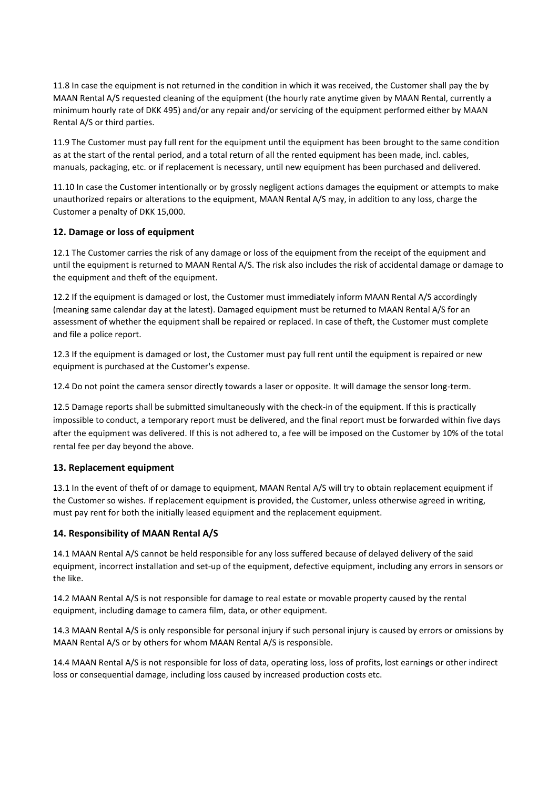11.8 In case the equipment is not returned in the condition in which it was received, the Customer shall pay the by MAAN Rental A/S requested cleaning of the equipment (the hourly rate anytime given by MAAN Rental, currently a minimum hourly rate of DKK 495) and/or any repair and/or servicing of the equipment performed either by MAAN Rental A/S or third parties.

11.9 The Customer must pay full rent for the equipment until the equipment has been brought to the same condition as at the start of the rental period, and a total return of all the rented equipment has been made, incl. cables, manuals, packaging, etc. or if replacement is necessary, until new equipment has been purchased and delivered.

11.10 In case the Customer intentionally or by grossly negligent actions damages the equipment or attempts to make unauthorized repairs or alterations to the equipment, MAAN Rental A/S may, in addition to any loss, charge the Customer a penalty of DKK 15,000.

# **12. Damage or loss of equipment**

12.1 The Customer carries the risk of any damage or loss of the equipment from the receipt of the equipment and until the equipment is returned to MAAN Rental A/S. The risk also includes the risk of accidental damage or damage to the equipment and theft of the equipment.

12.2 If the equipment is damaged or lost, the Customer must immediately inform MAAN Rental A/S accordingly (meaning same calendar day at the latest). Damaged equipment must be returned to MAAN Rental A/S for an assessment of whether the equipment shall be repaired or replaced. In case of theft, the Customer must complete and file a police report.

12.3 If the equipment is damaged or lost, the Customer must pay full rent until the equipment is repaired or new equipment is purchased at the Customer's expense.

12.4 Do not point the camera sensor directly towards a laser or opposite. It will damage the sensor long-term.

12.5 Damage reports shall be submitted simultaneously with the check-in of the equipment. If this is practically impossible to conduct, a temporary report must be delivered, and the final report must be forwarded within five days after the equipment was delivered. If this is not adhered to, a fee will be imposed on the Customer by 10% of the total rental fee per day beyond the above.

# **13. Replacement equipment**

13.1 In the event of theft of or damage to equipment, MAAN Rental A/S will try to obtain replacement equipment if the Customer so wishes. If replacement equipment is provided, the Customer, unless otherwise agreed in writing, must pay rent for both the initially leased equipment and the replacement equipment.

# **14. Responsibility of MAAN Rental A/S**

14.1 MAAN Rental A/S cannot be held responsible for any loss suffered because of delayed delivery of the said equipment, incorrect installation and set-up of the equipment, defective equipment, including any errors in sensors or the like.

14.2 MAAN Rental A/S is not responsible for damage to real estate or movable property caused by the rental equipment, including damage to camera film, data, or other equipment.

14.3 MAAN Rental A/S is only responsible for personal injury if such personal injury is caused by errors or omissions by MAAN Rental A/S or by others for whom MAAN Rental A/S is responsible.

14.4 MAAN Rental A/S is not responsible for loss of data, operating loss, loss of profits, lost earnings or other indirect loss or consequential damage, including loss caused by increased production costs etc.